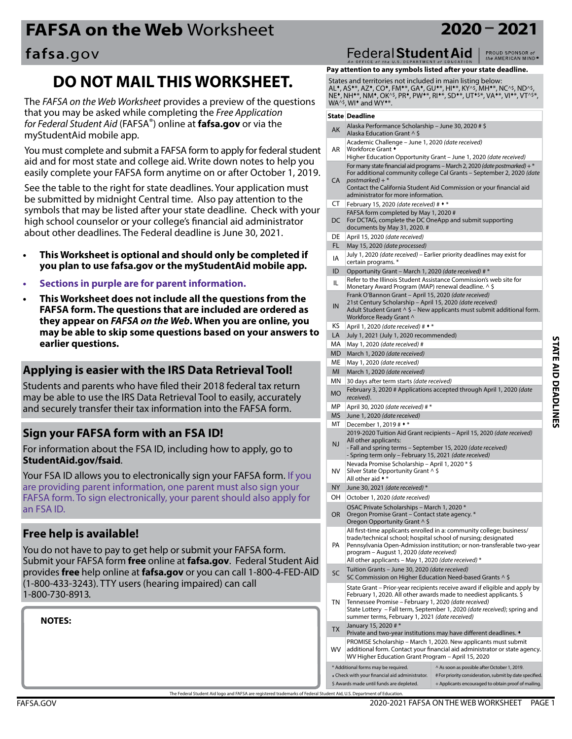# **FAFSA on the Web** Worksheet **2020 – 2021**

**DO NOT MAIL THIS WORKSHEET.** 

The *FAFSA on the Web Worksheet* provides a preview of the questions

You must complete and submit a FAFSA form to apply for federal student aid and for most state and college aid. Write down notes to help you easily complete your FAFSA form anytime on or after October 1, 2019. See the table to the right for state deadlines. Your application must be submitted by midnight Central time. Also pay attention to the symbols that may be listed after your state deadline. Check with your high school counselor or your college's financial aid administrator about other deadlines. The Federal deadline is June 30, 2021.

**This Worksheet is optional and should only be completed if you plan to use fafsa.gov or the myStudentAid mobile app.**

**This Worksheet does not include all the questions from the FAFSA form. The questions that are included are ordered as they appear on** *FAFSA on the Web***. When you are online, you may be able to skip some questions based on your answers to** 

**Sections in purple are for parent information.** 

that you may be asked while completing the *Free Application for Federal Student Aid* (FAFSA®) online at **[fafsa.gov](https://fafsa.ed.gov)** or via the

myStudentAid mobile app.

**fafsa**.gov

### **PROUD SPONSOR of**<br>the AMERICAN MIND®

**Pay attention to any symbols listed after your state deadline.**

Federal Student Aid |

States and territories not included in main listing below: AL\*, AS\*\*, AZ\*, CO\*, FM\*\*, GA\*, GU\*\*, HI\*\*, KY^\$, MH\*\*, NC^\$, ND^\$,<br>NE\*, NH\*\*, NM\*, OK^\$, PR\*, PW\*\*, RI\*\*, SD\*\*, UT\*\$\*, VA\*\*, VI\*\*, VT^\$\*,  $WA^{\lambda_{5}}$ , WI $\star$  and WY $\star$ \*.

#### **State Deadline**

- AK Alaska Performance Scholarship June 30, 2020 # \$ Alaska Education Grant ^ \$
- AR Academic Challenge – June 1, 2020 *(date received)* Workforce Grant  $\bullet$
- Higher Education Opportunity Grant June 1, 2020 *(date received)* For many state financial aid programs – March 2, 2020 *(date postmarked)*+ \* For additional community college Cal Grants – September 2, 2020 *(date*
- CA postmarked) + \* Contact the California Student Aid Commission or your financial aid administrator for more information.
- CT February 15, 2020 *(date received)* # \*
- FAFSA form completed by May 1, 2020 #
- DC For DCTAG, complete the DC OneApp and submit supporting documents by May 31, 2020. #
- DE April 15, 2020 *(date received)*
- FL May 15, 2020 *(date processed)*
- IA July 1, 2020 *(date received)*  Earlier priority deadlines may exist for certain programs. \*
- ID Opportunity Grant March 1, 2020 *(date received)* # \*
- **IL Refer to the Illinois Student Assistance Commission's web site for** Monetary Award Program (MAP) renewal deadline. ^ \$
- IN Frank O'Bannon Grant – April 15, 2020 *(date received)* 21st Century Scholarship – April 15, 2020 *(date received)*
- Adult Student Grant  $\wedge$  \$ New applicants must submit additional form. Workforce Ready Grant ^
- KS April 1, 2020 *(date received)* # \*
- LA July 1, 2021 (July 1, 2020 recommended)
- MA May 1, 2020 *(date received)* #
- MD March 1, 2020 *(date received)*
- ME May 1, 2020 *(date received)*
- MI March 1, 2020 *(date received)*
- MN 30 days after term starts *(date received)* MO February 3, 2020 # Applications accepted through April 1, 2020 *(date received)*.
- MP April 30, 2020 *(date received)* # \*
- MS June 1, 2020 *(date received)*

#### MT December 1, 2019 # \*

- NJ 2019-2020 Tuition Aid Grant recipients – April 15, 2020 *(date received)*  All other applicants:
- Fall and spring terms September 15, 2020 *(date received)* - Spring term only – February 15, 2021 *(date received)*
- NV Nevada Promise Scholarship – April 1, 2020 \* \$ Silver State Opportunity Grant ^ \$
- All other aid \*
- NY June 30, 2021 *(date received)* \*
- OH October 1, 2020 *(date received)*
- OSAC Private Scholarships March 1, 2020 \*
- OR Oregon Promise Grant Contact state agency. \* Oregon Opportunity Grant ^ \$ PA All first-time applicants enrolled in a: community college; business/ trade/technical school; hospital school of nursing; designated Pennsylvania Open-Admission institution; or non-transferable two-year program – August 1, 2020 *(date received)* All other applicants – May 1, 2020 *(date received)* \* SC Tuition Grants – June 30, 2020 *(date received)* SC Commission on Higher Education Need-based Grants ^ \$ TN State Grant – Prior-year recipients receive award if eligible and apply by February 1, 2020. All other awards made to neediest applicants. \$ Tennessee Promise – February 1, 2020 *(date received)* State Lottery – Fall term, September 1, 2020 *(date received)*; spring and summer terms, February 1, 2021 *(date received)* TX January 15, 2020  $#*$ Private and two-year institutions may have different deadlines.  $\bullet$ WV PROMISE Scholarship – March 1, 2020. New applicants must submit additional form. Contact your financial aid administrator or state agency. WV Higher Education Grant Program – April 15, 2020 \* Additional forms may be required. Check with your financial aid administrator. ^ As soon as possible after October 1, 2019. # For priority consideration, submit by date specified.

+ Applicants encouraged to obtain proof of mailing.

\$ Awards made until funds are depleted.

may be able to use the IRS Data Retrieval Tool to easily, accurately and securely transfer their tax information into the FAFSA form.

#### **Sign your FAFSA form with an FSA ID!**

For information about the FSA ID, including how to apply, go to **[StudentAid.gov/fsaid](https://StudentAid.ed.gov/fsaid)**.

**Applying is easier with the IRS Data Retrieval Tool!** Students and parents who have filed their 2018 federal tax return

Your FSA ID allows you to electronically sign your FAFSA form. If you are providing parent information, one parent must also sign your FAFSA form. To sign electronically, your parent should also apply for an FSA ID.

#### **Free help is available!**

**earlier questions.**

You do not have to pay to get help or submit your FAFSA form. Submit your FAFSA form **free** online at **[fafsa.gov](https://fafsa.ed.gov)**. Federal Student Aid provides **free** help online at **[fafsa.gov](https://fafsa.ed.gov)** or you can call 1-800-4-FED-AID (1-800-433-3243). TTY users (hearing impaired) can call 1-800-730-8913.

**NOTES:** 

**STATE AID DEADLINES STATE AID DEADLINES**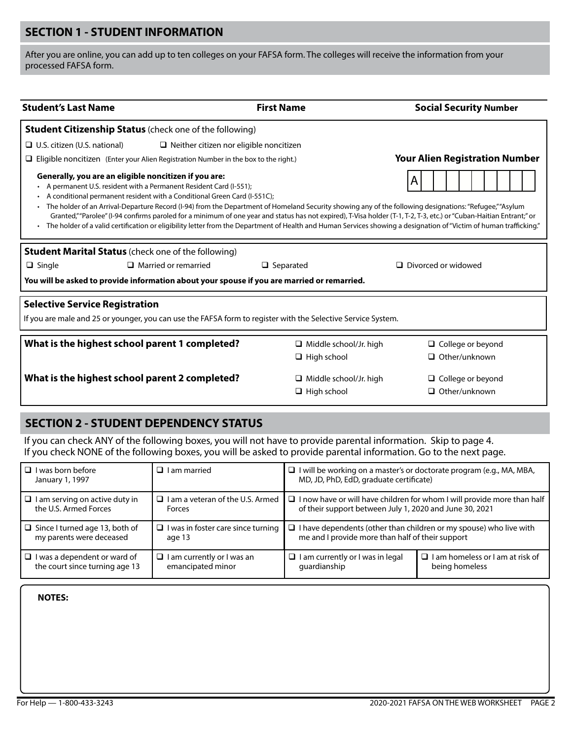### **SECTION 1 - STUDENT INFORMATION**

After you are online, you can add up to ten colleges on your FAFSA form. The colleges will receive the information from your processed FAFSA form.

| <b>Student's Last Name</b>                                                                                                                                                                                                                                                                                                                                                                                                                                                                                                                                                                                                                                                                                          |                                                            | <b>First Name</b>             | <b>Social Security Number</b>         |  |  |
|---------------------------------------------------------------------------------------------------------------------------------------------------------------------------------------------------------------------------------------------------------------------------------------------------------------------------------------------------------------------------------------------------------------------------------------------------------------------------------------------------------------------------------------------------------------------------------------------------------------------------------------------------------------------------------------------------------------------|------------------------------------------------------------|-------------------------------|---------------------------------------|--|--|
| <b>Student Citizenship Status</b> (check one of the following)                                                                                                                                                                                                                                                                                                                                                                                                                                                                                                                                                                                                                                                      |                                                            |                               |                                       |  |  |
| $\Box$ U.S. citizen (U.S. national)                                                                                                                                                                                                                                                                                                                                                                                                                                                                                                                                                                                                                                                                                 | $\Box$ Neither citizen nor eligible noncitizen             |                               |                                       |  |  |
| $\Box$ Eligible noncitizen (Enter your Alien Registration Number in the box to the right.)                                                                                                                                                                                                                                                                                                                                                                                                                                                                                                                                                                                                                          |                                                            |                               | <b>Your Alien Registration Number</b> |  |  |
| Generally, you are an eligible noncitizen if you are:<br>A<br>A permanent U.S. resident with a Permanent Resident Card (I-551);<br>A conditional permanent resident with a Conditional Green Card (I-551C);<br>The holder of an Arrival-Departure Record (I-94) from the Department of Homeland Security showing any of the following designations: "Refugee," "Asylum<br>Granted,""Parolee" (I-94 confirms paroled for a minimum of one year and status has not expired), T-Visa holder (T-1, T-2, T-3, etc.) or "Cuban-Haitian Entrant;" or<br>The holder of a valid certification or eligibility letter from the Department of Health and Human Services showing a designation of "Victim of human trafficking." |                                                            |                               |                                       |  |  |
|                                                                                                                                                                                                                                                                                                                                                                                                                                                                                                                                                                                                                                                                                                                     | <b>Student Marital Status</b> (check one of the following) |                               |                                       |  |  |
| $\Box$ Single                                                                                                                                                                                                                                                                                                                                                                                                                                                                                                                                                                                                                                                                                                       | $\Box$ Married or remarried                                | $\Box$ Separated              | $\Box$ Divorced or widowed            |  |  |
| You will be asked to provide information about your spouse if you are married or remarried.                                                                                                                                                                                                                                                                                                                                                                                                                                                                                                                                                                                                                         |                                                            |                               |                                       |  |  |
| <b>Selective Service Registration</b><br>If you are male and 25 or younger, you can use the FAFSA form to register with the Selective Service System.                                                                                                                                                                                                                                                                                                                                                                                                                                                                                                                                                               |                                                            |                               |                                       |  |  |
| What is the highest school parent 1 completed?                                                                                                                                                                                                                                                                                                                                                                                                                                                                                                                                                                                                                                                                      |                                                            | $\Box$ Middle school/Jr. high | $\Box$ College or beyond              |  |  |
|                                                                                                                                                                                                                                                                                                                                                                                                                                                                                                                                                                                                                                                                                                                     |                                                            | $\Box$ High school            | $\Box$ Other/unknown                  |  |  |
| What is the highest school parent 2 completed?                                                                                                                                                                                                                                                                                                                                                                                                                                                                                                                                                                                                                                                                      |                                                            | $\Box$ Middle school/Jr. high | $\Box$ College or beyond              |  |  |
|                                                                                                                                                                                                                                                                                                                                                                                                                                                                                                                                                                                                                                                                                                                     |                                                            | $\Box$ High school            | $\Box$ Other/unknown                  |  |  |

#### **SECTION 2 - STUDENT DEPENDENCY STATUS**

If you can check ANY of the following boxes, you will not have to provide parental information. Skip to page 4. If you check NONE of the following boxes, you will be asked to provide parental information. Go to the next page.

| $\Box$ I was born before<br>January 1, 1997                       | $\Box$ I am married                                 | $\Box$ I will be working on a master's or doctorate program (e.g., MA, MBA,<br>MD, JD, PhD, EdD, graduate certificate)      |                                         |
|-------------------------------------------------------------------|-----------------------------------------------------|-----------------------------------------------------------------------------------------------------------------------------|-----------------------------------------|
| $\Box$ I am serving on active duty in                             | $\Box$ I am a veteran of the U.S. Armed             | $\Box$ I now have or will have children for whom I will provide more than half                                              |                                         |
| the U.S. Armed Forces                                             | Forces                                              | of their support between July 1, 2020 and June 30, 2021                                                                     |                                         |
| $\Box$ Since I turned age 13, both of<br>my parents were deceased | $\Box$ I was in foster care since turning<br>age 13 | I have dependents (other than children or my spouse) who live with<br>u<br>me and I provide more than half of their support |                                         |
| $\Box$ I was a dependent or ward of                               | $\Box$ I am currently or I was an                   | $\Box$ I am currently or I was in legal                                                                                     | $\Box$ I am homeless or I am at risk of |
| the court since turning age 13                                    | emancipated minor                                   | quardianship                                                                                                                | being homeless                          |

| ÷ |
|---|
|---|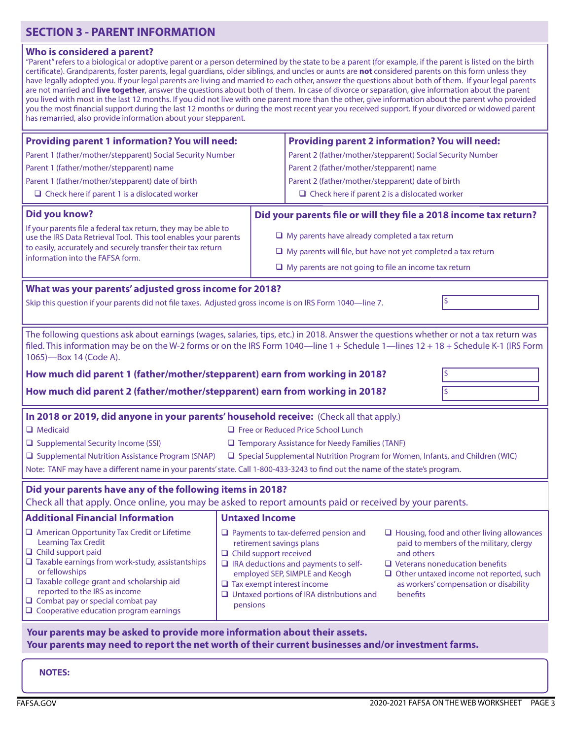## **SECTION 3 - PARENT INFORMATION**

#### **Who is considered a parent?**

| "Parent" refers to a biological or adoptive parent or a person determined by the state to be a parent (for example, if the parent is listed on the birth |
|----------------------------------------------------------------------------------------------------------------------------------------------------------|
| certificate). Grandparents, foster parents, legal guardians, older siblings, and uncles or aunts are not considered parents on this form unless they     |
| have legally adopted you. If your legal parents are living and married to each other, answer the questions about both of them. If your legal parents     |
| are not married and <b>live together</b> , answer the questions about both of them. In case of divorce or separation, give information about the parent  |
| you lived with most in the last 12 months. If you did not live with one parent more than the other, give information about the parent who provided       |
| you the most financial support during the last 12 months or during the most recent year you received support. If your divorced or widowed parent         |
| has remarried, also provide information about your stepparent.                                                                                           |
|                                                                                                                                                          |

| <b>Providing parent 1 information? You will need:</b>                                                                                                                                                                                                                                                                                                                |                                                                                                            | <b>Providing parent 2 information? You will need:</b>                                                                                                                       |                        |                                                                                                                                                                                                                                  |
|----------------------------------------------------------------------------------------------------------------------------------------------------------------------------------------------------------------------------------------------------------------------------------------------------------------------------------------------------------------------|------------------------------------------------------------------------------------------------------------|-----------------------------------------------------------------------------------------------------------------------------------------------------------------------------|------------------------|----------------------------------------------------------------------------------------------------------------------------------------------------------------------------------------------------------------------------------|
| Parent 1 (father/mother/stepparent) Social Security Number                                                                                                                                                                                                                                                                                                           |                                                                                                            | Parent 2 (father/mother/stepparent) Social Security Number                                                                                                                  |                        |                                                                                                                                                                                                                                  |
| Parent 1 (father/mother/stepparent) name                                                                                                                                                                                                                                                                                                                             |                                                                                                            | Parent 2 (father/mother/stepparent) name                                                                                                                                    |                        |                                                                                                                                                                                                                                  |
| Parent 1 (father/mother/stepparent) date of birth                                                                                                                                                                                                                                                                                                                    |                                                                                                            | Parent 2 (father/mother/stepparent) date of birth                                                                                                                           |                        |                                                                                                                                                                                                                                  |
| $\Box$ Check here if parent 1 is a dislocated worker                                                                                                                                                                                                                                                                                                                 |                                                                                                            | $\Box$ Check here if parent 2 is a dislocated worker                                                                                                                        |                        |                                                                                                                                                                                                                                  |
| <b>Did you know?</b>                                                                                                                                                                                                                                                                                                                                                 |                                                                                                            | Did your parents file or will they file a 2018 income tax return?                                                                                                           |                        |                                                                                                                                                                                                                                  |
| If your parents file a federal tax return, they may be able to<br>use the IRS Data Retrieval Tool. This tool enables your parents                                                                                                                                                                                                                                    | $\Box$ My parents have already completed a tax return                                                      |                                                                                                                                                                             |                        |                                                                                                                                                                                                                                  |
| to easily, accurately and securely transfer their tax return                                                                                                                                                                                                                                                                                                         |                                                                                                            | $\Box$ My parents will file, but have not yet completed a tax return                                                                                                        |                        |                                                                                                                                                                                                                                  |
| information into the FAFSA form.                                                                                                                                                                                                                                                                                                                                     | $\Box$ My parents are not going to file an income tax return                                               |                                                                                                                                                                             |                        |                                                                                                                                                                                                                                  |
|                                                                                                                                                                                                                                                                                                                                                                      |                                                                                                            |                                                                                                                                                                             |                        |                                                                                                                                                                                                                                  |
| What was your parents' adjusted gross income for 2018?                                                                                                                                                                                                                                                                                                               |                                                                                                            |                                                                                                                                                                             |                        | \$                                                                                                                                                                                                                               |
| Skip this question if your parents did not file taxes. Adjusted gross income is on IRS Form 1040-line 7.                                                                                                                                                                                                                                                             |                                                                                                            |                                                                                                                                                                             |                        |                                                                                                                                                                                                                                  |
|                                                                                                                                                                                                                                                                                                                                                                      |                                                                                                            |                                                                                                                                                                             |                        |                                                                                                                                                                                                                                  |
| The following questions ask about earnings (wages, salaries, tips, etc.) in 2018. Answer the questions whether or not a tax return was<br>filed. This information may be on the W-2 forms or on the IRS Form 1040—line 1 + Schedule 1—lines 12 + 18 + Schedule K-1 (IRS Form<br>1065)-Box 14 (Code A).                                                               |                                                                                                            |                                                                                                                                                                             |                        |                                                                                                                                                                                                                                  |
| How much did parent 1 (father/mother/stepparent) earn from working in 2018?                                                                                                                                                                                                                                                                                          |                                                                                                            |                                                                                                                                                                             |                        | \$                                                                                                                                                                                                                               |
| How much did parent 2 (father/mother/stepparent) earn from working in 2018?                                                                                                                                                                                                                                                                                          |                                                                                                            |                                                                                                                                                                             |                        | $\vert \varsigma$                                                                                                                                                                                                                |
|                                                                                                                                                                                                                                                                                                                                                                      |                                                                                                            |                                                                                                                                                                             |                        |                                                                                                                                                                                                                                  |
| In 2018 or 2019, did anyone in your parents' household receive: (Check all that apply.)<br><b>E</b> Free or Reduced Price School Lunch<br>$\Box$ Medicaid                                                                                                                                                                                                            |                                                                                                            |                                                                                                                                                                             |                        |                                                                                                                                                                                                                                  |
| □ Supplemental Security Income (SSI)<br>□ Temporary Assistance for Needy Families (TANF)                                                                                                                                                                                                                                                                             |                                                                                                            |                                                                                                                                                                             |                        |                                                                                                                                                                                                                                  |
| □ Supplemental Nutrition Assistance Program (SNAP)<br>□ Special Supplemental Nutrition Program for Women, Infants, and Children (WIC)                                                                                                                                                                                                                                |                                                                                                            |                                                                                                                                                                             |                        |                                                                                                                                                                                                                                  |
| Note: TANF may have a different name in your parents' state. Call 1-800-433-3243 to find out the name of the state's program.                                                                                                                                                                                                                                        |                                                                                                            |                                                                                                                                                                             |                        |                                                                                                                                                                                                                                  |
|                                                                                                                                                                                                                                                                                                                                                                      |                                                                                                            |                                                                                                                                                                             |                        |                                                                                                                                                                                                                                  |
| Did your parents have any of the following items in 2018?<br>Check all that apply. Once online, you may be asked to report amounts paid or received by your parents.                                                                                                                                                                                                 |                                                                                                            |                                                                                                                                                                             |                        |                                                                                                                                                                                                                                  |
| <b>Additional Financial Information</b>                                                                                                                                                                                                                                                                                                                              | <b>Untaxed Income</b>                                                                                      |                                                                                                                                                                             |                        |                                                                                                                                                                                                                                  |
| American Opportunity Tax Credit or Lifetime<br><b>Learning Tax Credit</b><br>$\Box$ Child support paid<br>$\Box$ Taxable earnings from work-study, assistantships<br>or fellowships<br>$\Box$ Taxable college grant and scholarship aid<br>reported to the IRS as income<br>$\Box$ Combat pay or special combat pay<br>$\Box$ Cooperative education program earnings | retirement savings plans<br>$\Box$ Child support received<br>$\Box$ Tax exempt interest income<br>pensions | $\Box$ Payments to tax-deferred pension and<br>□ IRA deductions and payments to self-<br>employed SEP, SIMPLE and Keogh<br>$\Box$ Untaxed portions of IRA distributions and | and others<br>benefits | $\Box$ Housing, food and other living allowances<br>paid to members of the military, clergy<br>$\Box$ Veterans noneducation benefits<br>$\Box$ Other untaxed income not reported, such<br>as workers' compensation or disability |
| Your parents may be asked to provide more information about their assets.                                                                                                                                                                                                                                                                                            |                                                                                                            |                                                                                                                                                                             |                        |                                                                                                                                                                                                                                  |

# **Your parents may need to report the net worth of their current businesses and/or investment farms.**

**NOTES:**